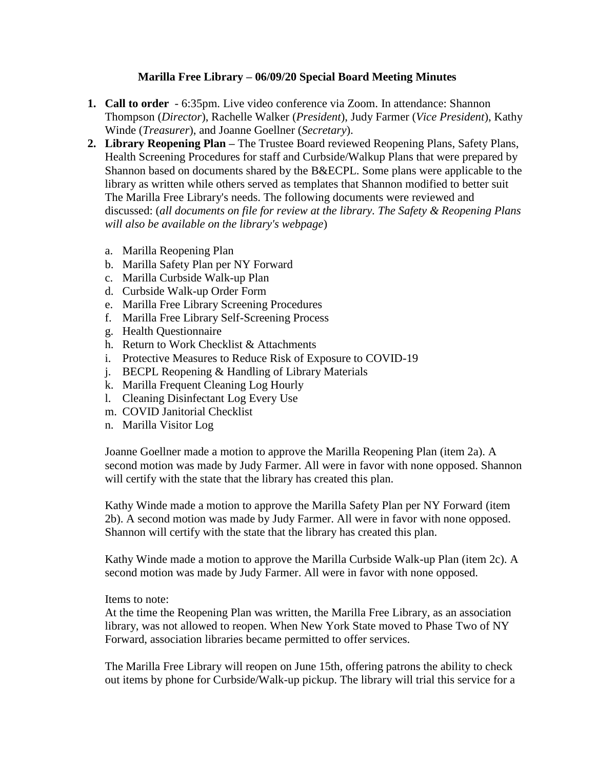## **Marilla Free Library – 06/09/20 Special Board Meeting Minutes**

- **1. Call to order** 6:35pm. Live video conference via Zoom. In attendance: Shannon Thompson (*Director*), Rachelle Walker (*President*), Judy Farmer (*Vice President*), Kathy Winde (*Treasurer*), and Joanne Goellner (*Secretary*).
- **2. Library Reopening Plan –** The Trustee Board reviewed Reopening Plans, Safety Plans, Health Screening Procedures for staff and Curbside/Walkup Plans that were prepared by Shannon based on documents shared by the B&ECPL. Some plans were applicable to the library as written while others served as templates that Shannon modified to better suit The Marilla Free Library's needs. The following documents were reviewed and discussed: (*all documents on file for review at the library. The Safety & Reopening Plans will also be available on the library's webpage*)
	- a. Marilla Reopening Plan
	- b. Marilla Safety Plan per NY Forward
	- c. Marilla Curbside Walk-up Plan
	- d. Curbside Walk-up Order Form
	- e. Marilla Free Library Screening Procedures
	- f. Marilla Free Library Self-Screening Process
	- g. Health Questionnaire
	- h. Return to Work Checklist & Attachments
	- i. Protective Measures to Reduce Risk of Exposure to COVID-19
	- j. BECPL Reopening & Handling of Library Materials
	- k. Marilla Frequent Cleaning Log Hourly
	- l. Cleaning Disinfectant Log Every Use
	- m. COVID Janitorial Checklist
	- n. Marilla Visitor Log

Joanne Goellner made a motion to approve the Marilla Reopening Plan (item 2a). A second motion was made by Judy Farmer. All were in favor with none opposed. Shannon will certify with the state that the library has created this plan.

Kathy Winde made a motion to approve the Marilla Safety Plan per NY Forward (item 2b). A second motion was made by Judy Farmer. All were in favor with none opposed. Shannon will certify with the state that the library has created this plan.

Kathy Winde made a motion to approve the Marilla Curbside Walk-up Plan (item 2c). A second motion was made by Judy Farmer. All were in favor with none opposed.

Items to note:

At the time the Reopening Plan was written, the Marilla Free Library, as an association library, was not allowed to reopen. When New York State moved to Phase Two of NY Forward, association libraries became permitted to offer services.

The Marilla Free Library will reopen on June 15th, offering patrons the ability to check out items by phone for Curbside/Walk-up pickup. The library will trial this service for a